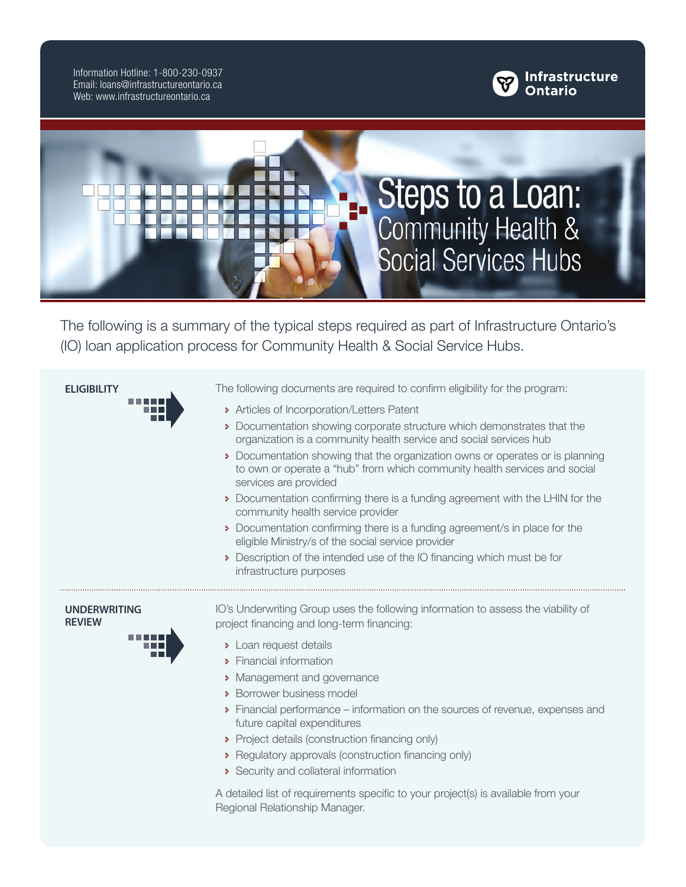Information Hotline: 1-800-230-0937 Email: loans@infrastructureontario.ca Web: www.infrastructureontario.ca





The following is a summary of the typical steps required as part of Infrastructure Ontario's (IO) loan application process for Community Health & Social Service Hubs.

| <b>ELIGIBILITY</b>                   | The following documents are required to confirm eligibility for the program:                                                                                                        |
|--------------------------------------|-------------------------------------------------------------------------------------------------------------------------------------------------------------------------------------|
|                                      | Articles of Incorporation/Letters Patent                                                                                                                                            |
|                                      | Documentation showing corporate structure which demonstrates that the<br>organization is a community health service and social services hub                                         |
|                                      | • Documentation showing that the organization owns or operates or is planning<br>to own or operate a "hub" from which community health services and social<br>services are provided |
|                                      | Documentation confirming there is a funding agreement with the LHIN for the<br>community health service provider                                                                    |
|                                      | Documentation confirming there is a funding agreement/s in place for the<br>eligible Ministry/s of the social service provider                                                      |
|                                      | Description of the intended use of the IO financing which must be for<br>infrastructure purposes                                                                                    |
| <b>UNDERWRITING</b><br><b>REVIEW</b> | IO's Underwriting Group uses the following information to assess the viability of<br>project financing and long-term financing:                                                     |
|                                      | > Loan request details                                                                                                                                                              |
|                                      | Financial information                                                                                                                                                               |
|                                      | > Management and governance                                                                                                                                                         |
|                                      | > Borrower business model                                                                                                                                                           |
|                                      | • Financial performance – information on the sources of revenue, expenses and<br>future capital expenditures                                                                        |
|                                      | Project details (construction financing only)                                                                                                                                       |
|                                      | Regulatory approvals (construction financing only)                                                                                                                                  |
|                                      | Security and collateral information                                                                                                                                                 |
|                                      | A detailed list of requirements specific to your project(s) is available from your<br>Regional Relationship Manager.                                                                |